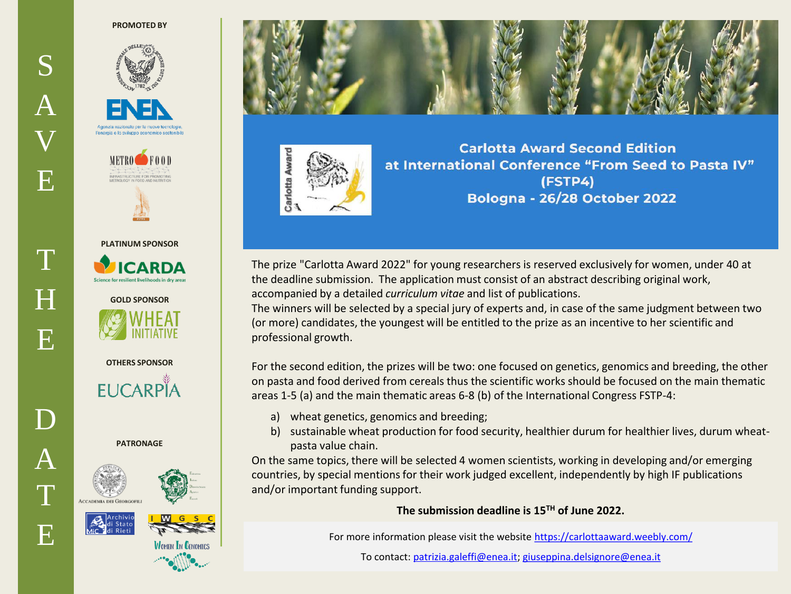## **PROMOTED BY**





## **PLATINUM SPONSOR**





**OTHERS SPONSOR**

**EUCARPIA** 

**PATRONAGE**









**Carlotta Award Second Edition** at International Conference "From Seed to Pasta IV" (FSTP4) **Bologna - 26/28 October 2022** 

The prize "Carlotta Award 2022" for young researchers is reserved exclusively for women, under 40 at the deadline submission. The application must consist of an abstract describing original work, accompanied by a detailed *curriculum vitae* and list of publications.

The winners will be selected by a special jury of experts and, in case of the same judgment between two (or more) candidates, the youngest will be entitled to the prize as an incentive to her scientific and professional growth.

For the second edition, the prizes will be two: one focused on genetics, genomics and breeding, the other on pasta and food derived from cereals thus the scientific works should be focused on the main thematic areas 1-5 (a) and the main thematic areas 6-8 (b) of the International Congress FSTP-4:

- a) wheat genetics, genomics and breeding;
- b) sustainable wheat production for food security, healthier durum for healthier lives, durum wheatpasta value chain.

On the same topics, there will be selected 4 women scientists, working in developing and/or emerging countries, by special mentions for their work judged excellent, independently by high IF publications and/or important funding support.

**The submission deadline is 15TH of June 2022.** 

For more information please visit the website<https://carlottaaward.weebly.com/>

To contact: [patrizia.galeffi@enea.it;](mailto:patrizia.galeffi@enea.it) [giuseppina.delsignore@enea.it](mailto:giuseppina.delsignore@enea.it)

T

E

S

 $\bm A$ 

V

E